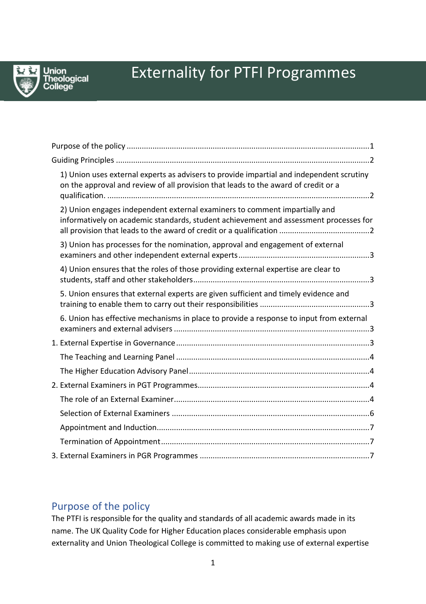

# Externality for PTFI Programmes

| 1) Union uses external experts as advisers to provide impartial and independent scrutiny<br>on the approval and review of all provision that leads to the award of credit or a |
|--------------------------------------------------------------------------------------------------------------------------------------------------------------------------------|
| 2) Union engages independent external examiners to comment impartially and<br>informatively on academic standards, student achievement and assessment processes for            |
| 3) Union has processes for the nomination, approval and engagement of external                                                                                                 |
| 4) Union ensures that the roles of those providing external expertise are clear to                                                                                             |
| 5. Union ensures that external experts are given sufficient and timely evidence and                                                                                            |
| 6. Union has effective mechanisms in place to provide a response to input from external                                                                                        |
|                                                                                                                                                                                |
|                                                                                                                                                                                |
|                                                                                                                                                                                |
|                                                                                                                                                                                |
|                                                                                                                                                                                |
|                                                                                                                                                                                |
|                                                                                                                                                                                |
|                                                                                                                                                                                |
|                                                                                                                                                                                |

# <span id="page-0-0"></span>Purpose of the policy

The PTFI is responsible for the quality and standards of all academic awards made in its name. The UK Quality Code for Higher Education places considerable emphasis upon externality and Union Theological College is committed to making use of external expertise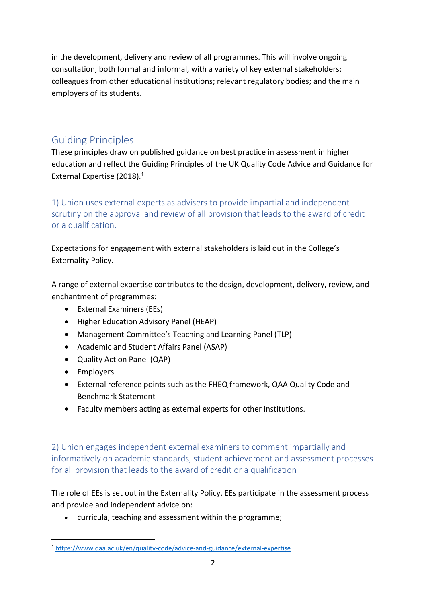in the development, delivery and review of all programmes. This will involve ongoing consultation, both formal and informal, with a variety of key external stakeholders: colleagues from other educational institutions; relevant regulatory bodies; and the main employers of its students.

# <span id="page-1-0"></span>Guiding Principles

These principles draw on published guidance on best practice in assessment in higher education and reflect the Guiding Principles of the UK Quality Code Advice and Guidance for External Expertise (2018).<sup>1</sup>

<span id="page-1-1"></span>1) Union uses external experts as advisers to provide impartial and independent scrutiny on the approval and review of all provision that leads to the award of credit or a qualification.

Expectations for engagement with external stakeholders is laid out in the College's Externality Policy.

A range of external expertise contributes to the design, development, delivery, review, and enchantment of programmes:

- External Examiners (EEs)
- Higher Education Advisory Panel (HEAP)
- Management Committee's Teaching and Learning Panel (TLP)
- Academic and Student Affairs Panel (ASAP)
- Quality Action Panel (QAP)
- Employers

 $\overline{a}$ 

- External reference points such as the FHEQ framework, QAA Quality Code and Benchmark Statement
- Faculty members acting as external experts for other institutions.

<span id="page-1-2"></span>2) Union engages independent external examiners to comment impartially and informatively on academic standards, student achievement and assessment processes for all provision that leads to the award of credit or a qualification

The role of EEs is set out in the Externality Policy. EEs participate in the assessment process and provide and independent advice on:

• curricula, teaching and assessment within the programme;

<sup>1</sup> <https://www.qaa.ac.uk/en/quality-code/advice-and-guidance/external-expertise>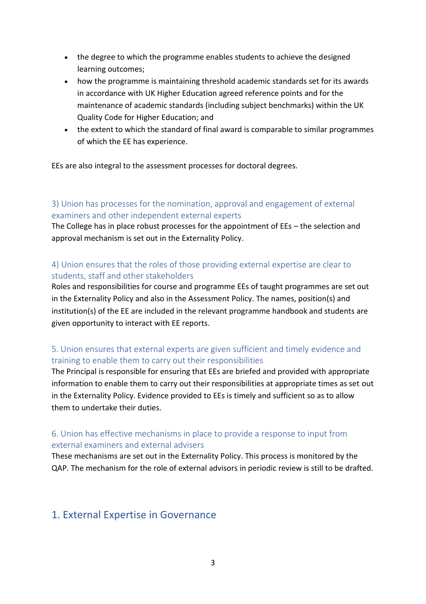- the degree to which the programme enables students to achieve the designed learning outcomes;
- how the programme is maintaining threshold academic standards set for its awards in accordance with UK Higher Education agreed reference points and for the maintenance of academic standards (including subject benchmarks) within the UK Quality Code for Higher Education; and
- the extent to which the standard of final award is comparable to similar programmes of which the EE has experience.

EEs are also integral to the assessment processes for doctoral degrees.

## <span id="page-2-0"></span>3) Union has processes for the nomination, approval and engagement of external examiners and other independent external experts

The College has in place robust processes for the appointment of EEs – the selection and approval mechanism is set out in the Externality Policy.

## <span id="page-2-1"></span>4) Union ensures that the roles of those providing external expertise are clear to students, staff and other stakeholders

Roles and responsibilities for course and programme EEs of taught programmes are set out in the Externality Policy and also in the Assessment Policy. The names, position(s) and institution(s) of the EE are included in the relevant programme handbook and students are given opportunity to interact with EE reports.

## <span id="page-2-2"></span>5. Union ensures that external experts are given sufficient and timely evidence and training to enable them to carry out their responsibilities

The Principal is responsible for ensuring that EEs are briefed and provided with appropriate information to enable them to carry out their responsibilities at appropriate times as set out in the Externality Policy. Evidence provided to EEs is timely and sufficient so as to allow them to undertake their duties.

## <span id="page-2-3"></span>6. Union has effective mechanisms in place to provide a response to input from external examiners and external advisers

These mechanisms are set out in the Externality Policy. This process is monitored by the QAP. The mechanism for the role of external advisors in periodic review is still to be drafted.

# <span id="page-2-4"></span>1. External Expertise in Governance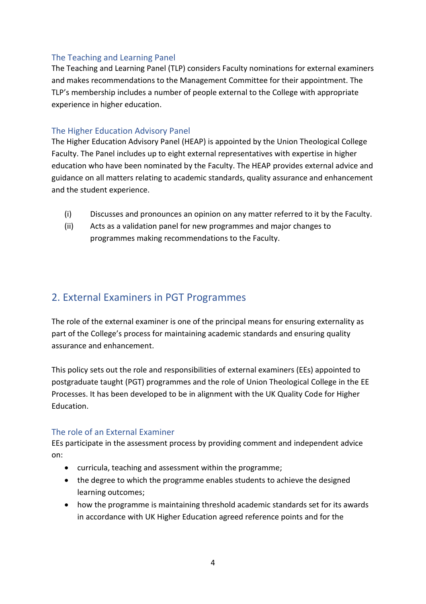#### <span id="page-3-0"></span>The Teaching and Learning Panel

The Teaching and Learning Panel (TLP) considers Faculty nominations for external examiners and makes recommendations to the Management Committee for their appointment. The TLP's membership includes a number of people external to the College with appropriate experience in higher education.

#### <span id="page-3-1"></span>The Higher Education Advisory Panel

The Higher Education Advisory Panel (HEAP) is appointed by the Union Theological College Faculty. The Panel includes up to eight external representatives with expertise in higher education who have been nominated by the Faculty. The HEAP provides external advice and guidance on all matters relating to academic standards, quality assurance and enhancement and the student experience.

- (i) Discusses and pronounces an opinion on any matter referred to it by the Faculty.
- (ii) Acts as a validation panel for new programmes and major changes to programmes making recommendations to the Faculty.

# <span id="page-3-2"></span>2. External Examiners in PGT Programmes

The role of the external examiner is one of the principal means for ensuring externality as part of the College's process for maintaining academic standards and ensuring quality assurance and enhancement.

This policy sets out the role and responsibilities of external examiners (EEs) appointed to postgraduate taught (PGT) programmes and the role of Union Theological College in the EE Processes. It has been developed to be in alignment with the UK Quality Code for Higher Education.

#### <span id="page-3-3"></span>The role of an External Examiner

EEs participate in the assessment process by providing comment and independent advice on:

- curricula, teaching and assessment within the programme;
- the degree to which the programme enables students to achieve the designed learning outcomes;
- how the programme is maintaining threshold academic standards set for its awards in accordance with UK Higher Education agreed reference points and for the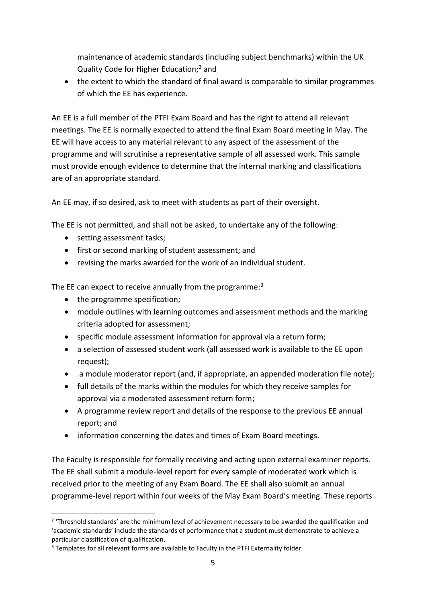maintenance of academic standards (including subject benchmarks) within the UK Quality Code for Higher Education;<sup>2</sup> and

• the extent to which the standard of final award is comparable to similar programmes of which the EE has experience.

An EE is a full member of the PTFI Exam Board and has the right to attend all relevant meetings. The EE is normally expected to attend the final Exam Board meeting in May. The EE will have access to any material relevant to any aspect of the assessment of the programme and will scrutinise a representative sample of all assessed work. This sample must provide enough evidence to determine that the internal marking and classifications are of an appropriate standard.

An EE may, if so desired, ask to meet with students as part of their oversight.

The EE is not permitted, and shall not be asked, to undertake any of the following:

- setting assessment tasks;
- first or second marking of student assessment; and
- revising the marks awarded for the work of an individual student.

The EE can expect to receive annually from the programme:<sup>3</sup>

- the programme specification;
- module outlines with learning outcomes and assessment methods and the marking criteria adopted for assessment;
- specific module assessment information for approval via a return form;
- a selection of assessed student work (all assessed work is available to the EE upon request);
- a module moderator report (and, if appropriate, an appended moderation file note);
- full details of the marks within the modules for which they receive samples for approval via a moderated assessment return form;
- A programme review report and details of the response to the previous EE annual report; and
- information concerning the dates and times of Exam Board meetings.

The Faculty is responsible for formally receiving and acting upon external examiner reports. The EE shall submit a module-level report for every sample of moderated work which is received prior to the meeting of any Exam Board. The EE shall also submit an annual programme-level report within four weeks of the May Exam Board's meeting. These reports

 $\overline{a}$ <sup>2</sup> 'Threshold standards' are the minimum level of achievement necessary to be awarded the qualification and 'academic standards' include the standards of performance that a student must demonstrate to achieve a particular classification of qualification.

<sup>&</sup>lt;sup>3</sup> Templates for all relevant forms are available to Faculty in the PTFI Externality folder.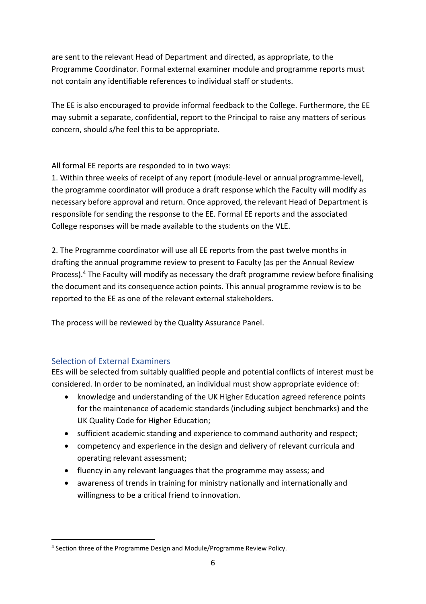are sent to the relevant Head of Department and directed, as appropriate, to the Programme Coordinator. Formal external examiner module and programme reports must not contain any identifiable references to individual staff or students.

The EE is also encouraged to provide informal feedback to the College. Furthermore, the EE may submit a separate, confidential, report to the Principal to raise any matters of serious concern, should s/he feel this to be appropriate.

All formal EE reports are responded to in two ways:

1. Within three weeks of receipt of any report (module-level or annual programme-level), the programme coordinator will produce a draft response which the Faculty will modify as necessary before approval and return. Once approved, the relevant Head of Department is responsible for sending the response to the EE. Formal EE reports and the associated College responses will be made available to the students on the VLE.

2. The Programme coordinator will use all EE reports from the past twelve months in drafting the annual programme review to present to Faculty (as per the Annual Review Process).<sup>4</sup> The Faculty will modify as necessary the draft programme review before finalising the document and its consequence action points. This annual programme review is to be reported to the EE as one of the relevant external stakeholders.

The process will be reviewed by the Quality Assurance Panel.

## <span id="page-5-0"></span>Selection of External Examiners

EEs will be selected from suitably qualified people and potential conflicts of interest must be considered. In order to be nominated, an individual must show appropriate evidence of:

- knowledge and understanding of the UK Higher Education agreed reference points for the maintenance of academic standards (including subject benchmarks) and the UK Quality Code for Higher Education;
- sufficient academic standing and experience to command authority and respect;
- competency and experience in the design and delivery of relevant curricula and operating relevant assessment;
- fluency in any relevant languages that the programme may assess; and
- awareness of trends in training for ministry nationally and internationally and willingness to be a critical friend to innovation.

 $\overline{a}$ 4 Section three of the Programme Design and Module/Programme Review Policy.